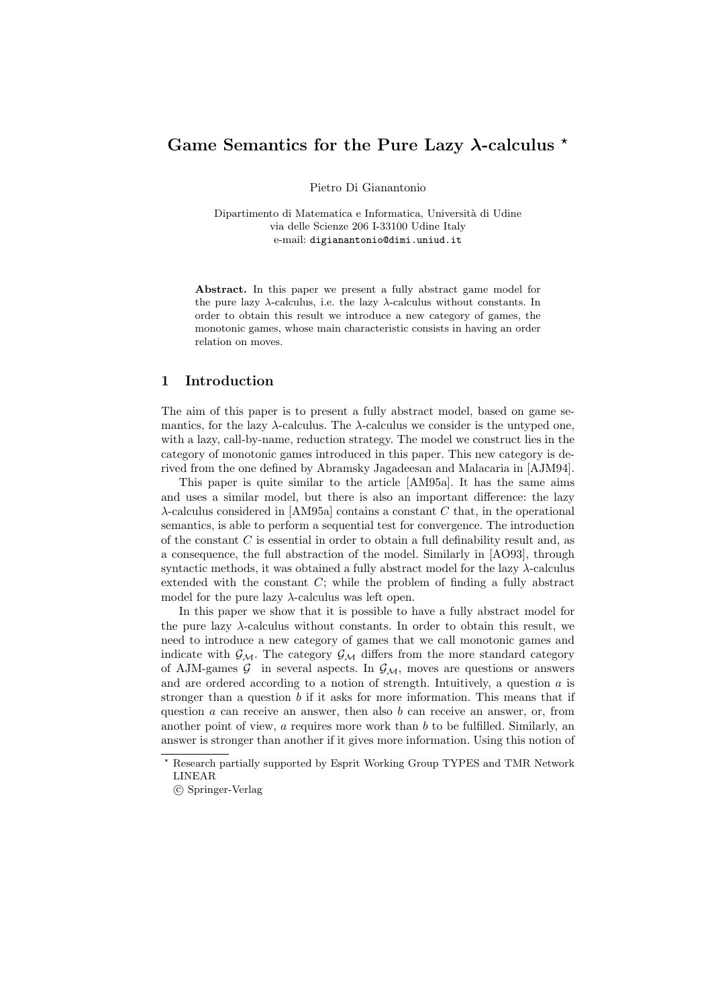# Game Semantics for the Pure Lazy  $\lambda$ -calculus  $\star$

Pietro Di Gianantonio

Dipartimento di Matematica e Informatica, Università di Udine via delle Scienze 206 I-33100 Udine Italy e-mail: digianantonio@dimi.uniud.it

Abstract. In this paper we present a fully abstract game model for the pure lazy  $\lambda$ -calculus, i.e. the lazy  $\lambda$ -calculus without constants. In order to obtain this result we introduce a new category of games, the monotonic games, whose main characteristic consists in having an order relation on moves.

### 1 Introduction

The aim of this paper is to present a fully abstract model, based on game semantics, for the lazy  $\lambda$ -calculus. The  $\lambda$ -calculus we consider is the untyped one, with a lazy, call-by-name, reduction strategy. The model we construct lies in the category of monotonic games introduced in this paper. This new category is derived from the one defined by Abramsky Jagadeesan and Malacaria in [AJM94].

This paper is quite similar to the article [AM95a]. It has the same aims and uses a similar model, but there is also an important difference: the lazy  $\lambda$ -calculus considered in [AM95a] contains a constant C that, in the operational semantics, is able to perform a sequential test for convergence. The introduction of the constant  $C$  is essential in order to obtain a full definability result and, as a consequence, the full abstraction of the model. Similarly in [AO93], through syntactic methods, it was obtained a fully abstract model for the lazy  $\lambda$ -calculus extended with the constant  $C$ ; while the problem of finding a fully abstract model for the pure lazy  $\lambda$ -calculus was left open.

In this paper we show that it is possible to have a fully abstract model for the pure lazy  $\lambda$ -calculus without constants. In order to obtain this result, we need to introduce a new category of games that we call monotonic games and indicate with  $\mathcal{G}_{\mathcal{M}}$ . The category  $\mathcal{G}_{\mathcal{M}}$  differs from the more standard category of AJM-games  $\mathcal G$  in several aspects. In  $\mathcal G_M$ , moves are questions or answers and are ordered according to a notion of strength. Intuitively, a question  $a$  is stronger than a question  $b$  if it asks for more information. This means that if question  $a$  can receive an answer, then also  $b$  can receive an answer, or, from another point of view,  $a$  requires more work than  $b$  to be fulfilled. Similarly, an answer is stronger than another if it gives more information. Using this notion of

<sup>?</sup> Research partially supported by Esprit Working Group TYPES and TMR Network LINEAR

c Springer-Verlag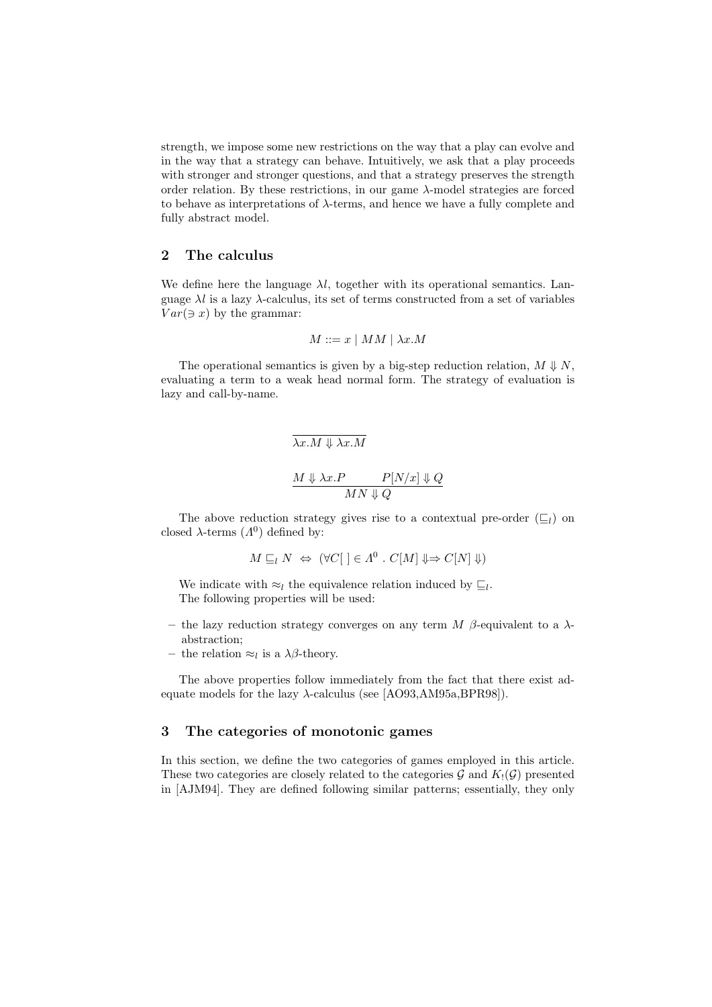strength, we impose some new restrictions on the way that a play can evolve and in the way that a strategy can behave. Intuitively, we ask that a play proceeds with stronger and stronger questions, and that a strategy preserves the strength order relation. By these restrictions, in our game  $\lambda$ -model strategies are forced to behave as interpretations of  $\lambda$ -terms, and hence we have a fully complete and fully abstract model.

# 2 The calculus

We define here the language  $\lambda l$ , together with its operational semantics. Language  $\lambda l$  is a lazy  $\lambda$ -calculus, its set of terms constructed from a set of variables  $Var(\ni x)$  by the grammar:

$$
M ::= x \mid MM \mid \lambda x.M
$$

The operational semantics is given by a big-step reduction relation,  $M \downarrow N$ , evaluating a term to a weak head normal form. The strategy of evaluation is lazy and call-by-name.

$$
\overline{\lambda x.M \Downarrow \lambda x.M}
$$
  

$$
\underline{M \Downarrow \lambda x.P \qquad P[N/x] \Downarrow Q}
$$
  

$$
\underline{MN \Downarrow Q}
$$

The above reduction strategy gives rise to a contextual pre-order  $(\sqsubseteq_l)$  on closed  $\lambda$ -terms  $(\Lambda^0)$  defined by:

$$
M \sqsubseteq_l N \iff (\forall C[\ ] \in \Lambda^0 \cdot C[M] \Downarrow \Rightarrow C[N] \Downarrow)
$$

We indicate with  $\approx_l$  the equivalence relation induced by  $\sqsubseteq_l$ . The following properties will be used:

- the lazy reduction strategy converges on any term M  $\beta$ -equivalent to a  $\lambda$ abstraction;
- the relation  $\approx_l$  is a  $\lambda\beta$ -theory.

The above properties follow immediately from the fact that there exist adequate models for the lazy  $\lambda$ -calculus (see [AO93,AM95a,BPR98]).

### 3 The categories of monotonic games

In this section, we define the two categories of games employed in this article. These two categories are closely related to the categories  $\mathcal G$  and  $K_1(\mathcal G)$  presented in [AJM94]. They are defined following similar patterns; essentially, they only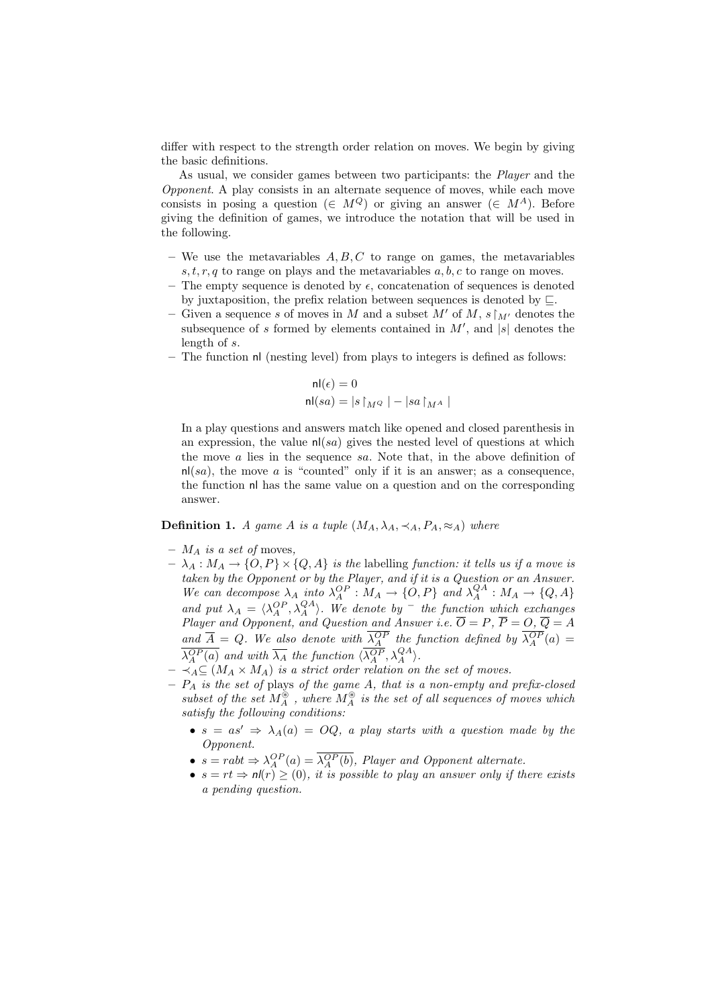differ with respect to the strength order relation on moves. We begin by giving the basic definitions.

As usual, we consider games between two participants: the Player and the Opponent. A play consists in an alternate sequence of moves, while each move consists in posing a question ( $\in M^Q$ ) or giving an answer ( $\in M^A$ ). Before giving the definition of games, we introduce the notation that will be used in the following.

- We use the metavariables  $A, B, C$  to range on games, the metavariables s, t, r, q to range on plays and the metavariables  $a, b, c$  to range on moves.
- The empty sequence is denoted by  $\epsilon$ , concatenation of sequences is denoted by juxtaposition, the prefix relation between sequences is denoted by  $\sqsubseteq$ .
- Given a sequence s of moves in M and a subset  $M'$  of M, s  $\upharpoonright_{M'}$  denotes the subsequence of s formed by elements contained in  $M'$ , and |s| denotes the length of s.
- The function nl (nesting level) from plays to integers is defined as follows:

$$
nl(\epsilon) = 0
$$
  
nl(sa) = |s|<sub>M</sub>q | - |sa|<sub>M</sub>4 |

In a play questions and answers match like opened and closed parenthesis in an expression, the value  $n|(sa)$  gives the nested level of questions at which the move a lies in the sequence sa. Note that, in the above definition of  $n(sa)$ , the move a is "counted" only if it is an answer; as a consequence, the function nl has the same value on a question and on the corresponding answer.

**Definition 1.** A game A is a tuple  $(M_A, \lambda_A, \prec_A, P_A, \approx_A)$  where

- $M_A$  is a set of moves,
- $-\lambda_A: M_A \to \{O, P\} \times \{Q, A\}$  is the labelling function: it tells us if a move is taken by the Opponent or by the Player, and if it is a Question or an Answer. We can decompose  $\lambda_A$  into  $\lambda_A^{OP}$  :  $M_A \to \{O, P\}$  and  $\lambda_A^{QA}$  :  $M_A \to \{Q, A\}$ and put  $\lambda_A = \langle \lambda_A^{OP}, \lambda_A^{QA} \rangle$ . We denote by  $\bar{ }$  the function which exchanges Player and Opponent, and Question and Answer i.e.  $O = P, P = O, Q = A$ and  $\overline{A} = Q$ . We also denote with  $\lambda_A^{OP}$  the function defined by  $\lambda_A^{OP}(a) =$  $\overline{\lambda_A^{OP}(a)}$  and with  $\overline{\lambda_A}$  the function  $\langle \overline{\lambda_A^{OP}}, \lambda_A^{QA} \rangle$ .
- $\prec_A \subseteq (M_A \times M_A)$  is a strict order relation on the set of moves.
- $P_A$  is the set of plays of the game A, that is a non-empty and prefix-closed subset of the set  $M_A^{\&}$ , where  $M_A^{\circledast}$  is the set of all sequences of moves which satisfy the following conditions:
	- $s = as' \Rightarrow \lambda_A(a) = OQ$ , a play starts with a question made by the Opponent.
	- $s = rabt \Rightarrow \lambda_A^{OP}(a) = \lambda_A^{OP}(b)$ , Player and Opponent alternate.
	- $s = rt \Rightarrow nl(r) > (0)$ , it is possible to play an answer only if there exists a pending question.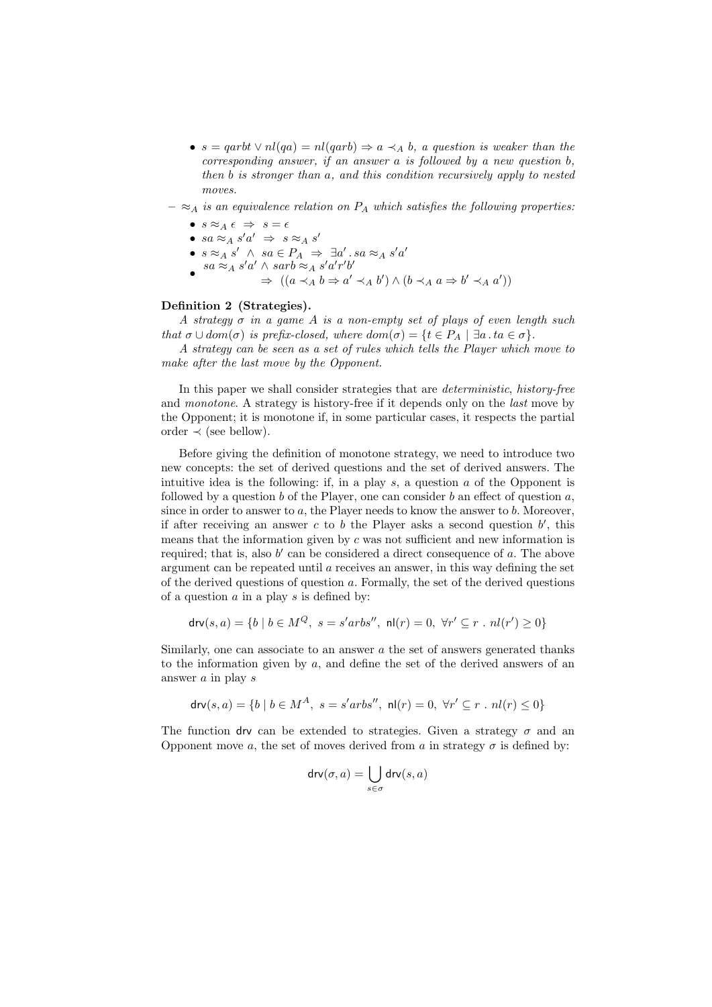- $s = qarbt \vee nl(qa) = nl(qarb) \Rightarrow a \prec_A b$ , a question is weaker than the corresponding answer, if an answer a is followed by a new question b, then b is stronger than a, and this condition recursively apply to nested moves.
- $\approx_A$  is an equivalence relation on  $P_A$  which satisfies the following properties:
	- $s \approx_A \epsilon \Rightarrow s = \epsilon$
	- sa  $\approx_A s'a' \Rightarrow s \approx_A s'$
	- $s \approx_A s' \land sa \in P_A \Rightarrow \exists a' . sa \approx_A s'a'$
	- $sa \approx_A s'a' \wedge sarb \approx_A s'a'r'b'$
	- $\Rightarrow ((a \prec_A b \Rightarrow a' \prec_A b') \land (b \prec_A a \Rightarrow b' \prec_A a'))$

### Definition 2 (Strategies).

A strategy  $\sigma$  in a game A is a non-empty set of plays of even length such that  $\sigma \cup dom(\sigma)$  is prefix-closed, where  $dom(\sigma) = \{t \in P_A \mid \exists a \cdot ta \in \sigma\}.$ 

A strategy can be seen as a set of rules which tells the Player which move to make after the last move by the Opponent.

In this paper we shall consider strategies that are deterministic, history-free and *monotone*. A strategy is history-free if it depends only on the *last* move by the Opponent; it is monotone if, in some particular cases, it respects the partial order  $\prec$  (see bellow).

Before giving the definition of monotone strategy, we need to introduce two new concepts: the set of derived questions and the set of derived answers. The intuitive idea is the following: if, in a play  $s$ , a question  $a$  of the Opponent is followed by a question b of the Player, one can consider b an effect of question a, since in order to answer to  $a$ , the Player needs to know the answer to  $b$ . Moreover, if after receiving an answer c to b the Player asks a second question  $b'$ , this means that the information given by c was not sufficient and new information is required; that is, also  $b'$  can be considered a direct consequence of  $a$ . The above argument can be repeated until a receives an answer, in this way defining the set of the derived questions of question a. Formally, the set of the derived questions of a question  $a$  in a play  $s$  is defined by:

$$
div(s, a) = \{b \mid b \in M^Q, \ s = s'arbs'', \ nI(r) = 0, \ \forall r' \subseteq r \ . \ nI(r') \ge 0\}
$$

Similarly, one can associate to an answer  $\alpha$  the set of answers generated thanks to the information given by  $a$ , and define the set of the derived answers of an answer a in play s

$$
div(s, a) = \{b \mid b \in M^A, \ s = s'arbs'', \ nI(r) = 0, \ \forall r' \subseteq r \ . \ nI(r) \le 0\}
$$

The function drv can be extended to strategies. Given a strategy  $\sigma$  and an Opponent move a, the set of moves derived from a in strategy  $\sigma$  is defined by:

$$
\mathsf{drv}(\sigma, a) = \bigcup_{s \in \sigma} \mathsf{drv}(s, a)
$$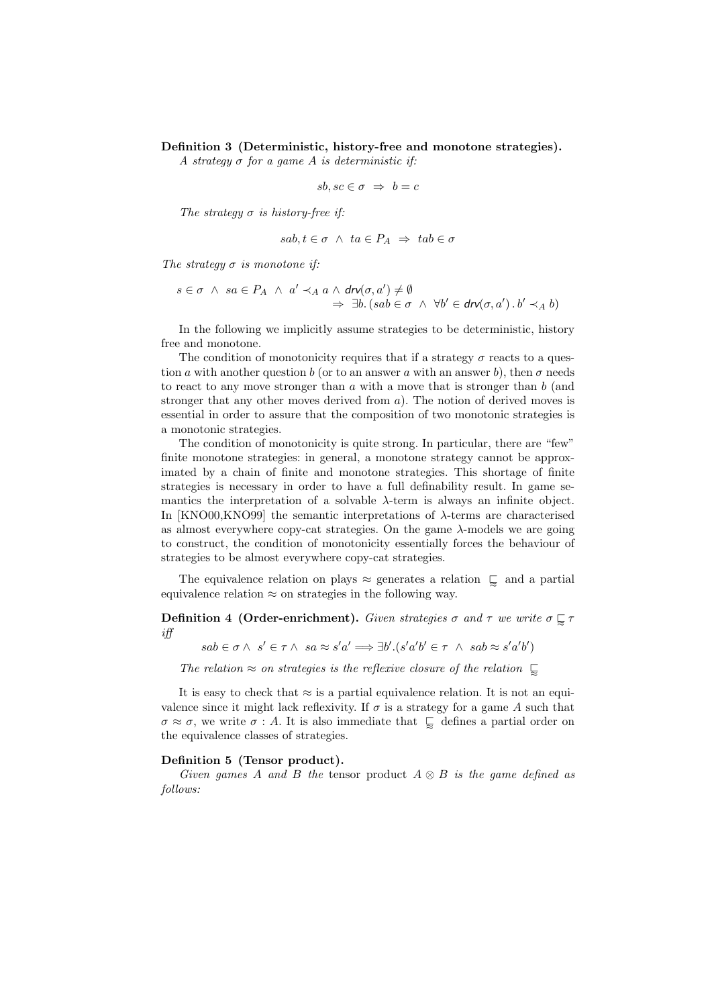Definition 3 (Deterministic, history-free and monotone strategies).

A strategy  $\sigma$  for a game A is deterministic if:

$$
sb, sc \in \sigma \Rightarrow b = c
$$

The strategy  $\sigma$  is history-free if:

$$
sab, t \in \sigma \ \land \ ta \in P_A \ \Rightarrow \ tab \in \sigma
$$

The strategy  $\sigma$  is monotone if:

$$
s \in \sigma \ \land \ sa \in P_A \ \land \ a' \prec_A a \land \mathit{drv}(\sigma, a') \neq \emptyset
$$
  

$$
\Rightarrow \exists b. \ (sab \in \sigma \ \land \ \forall b' \in \mathit{drv}(\sigma, a') \cdot b' \prec_A b)
$$

In the following we implicitly assume strategies to be deterministic, history free and monotone.

The condition of monotonicity requires that if a strategy  $\sigma$  reacts to a question a with another question b (or to an answer a with an answer b), then  $\sigma$  needs to react to any move stronger than  $a$  with a move that is stronger than  $b$  (and stronger that any other moves derived from a). The notion of derived moves is essential in order to assure that the composition of two monotonic strategies is a monotonic strategies.

The condition of monotonicity is quite strong. In particular, there are "few" finite monotone strategies: in general, a monotone strategy cannot be approximated by a chain of finite and monotone strategies. This shortage of finite strategies is necessary in order to have a full definability result. In game semantics the interpretation of a solvable  $\lambda$ -term is always an infinite object. In [KNO00,KNO99] the semantic interpretations of  $\lambda$ -terms are characterised as almost everywhere copy-cat strategies. On the game  $\lambda$ -models we are going to construct, the condition of monotonicity essentially forces the behaviour of strategies to be almost everywhere copy-cat strategies.

The equivalence relation on plays  $\approx$  generates a relation  $\Gamma\overline{\approx}$  and a partial equivalence relation  $\approx$  on strategies in the following way.

**Definition 4 (Order-enrichment).** Given strategies  $\sigma$  and  $\tau$  we write  $\sigma \subsetneq \tau$ iff

 $sab \in \sigma \wedge s' \in \tau \wedge sa \approx s'a' \Longrightarrow \exists b'.(s'a'b' \in \tau \wedge sab \approx s'a'b')$ 

The relation  $\approx$  on strategies is the reflexive closure of the relation  $\mathbb{Q}$ 

It is easy to check that  $\approx$  is a partial equivalence relation. It is not an equivalence since it might lack reflexivity. If  $\sigma$  is a strategy for a game A such that  $\sigma \approx \sigma$ , we write  $\sigma$ : A. It is also immediate that  $\varsubsetneq$  defines a partial order on the equivalence classes of strategies.

### Definition 5 (Tensor product).

Given games A and B the tensor product  $A \otimes B$  is the game defined as follows: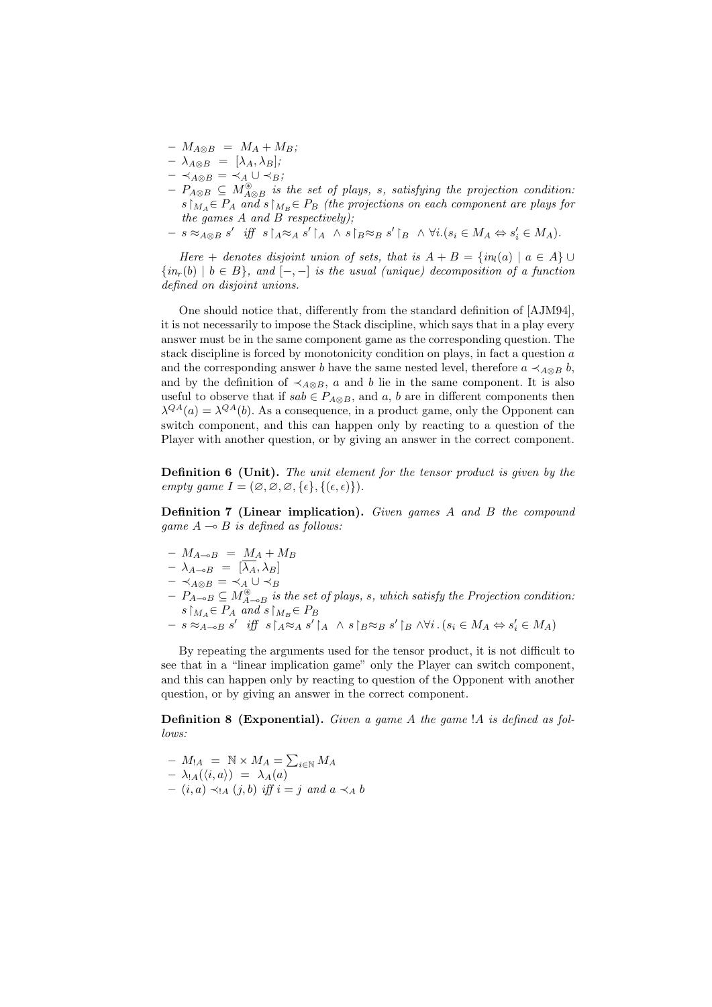- $M_{A\otimes B} = M_A + M_B;$
- $\lambda_{A\otimes B} = [\lambda_A, \lambda_B];$
- ≺A⊗<sup>B</sup> = ≺<sup>A</sup> ∪ ≺B;
- $P_{A\otimes B} \subseteq M_{A\otimes B}^{\circledast}$  is the set of plays, s, satisfying the projection condition:  $s\mathcal{N}_A \in P_A$  and  $s\mathcal{N}_B \in P_B$  (the projections on each component are plays for the games A and B respectively);
- $s \approx_{A \otimes B} s'$  iff  $s \upharpoonright_A \approx_A s' \upharpoonright_A \wedge s \upharpoonright_B \approx_B s' \upharpoonright_B \wedge \forall i. (s_i \in M_A \Leftrightarrow s_i' \in M_A).$

Here + denotes disjoint union of sets, that is  $A + B = \{in_1(a) \mid a \in A\} \cup$  ${n_r(b) | b \in B}$ , and  $[-,-]$  is the usual (unique) decomposition of a function defined on disjoint unions.

One should notice that, differently from the standard definition of [AJM94], it is not necessarily to impose the Stack discipline, which says that in a play every answer must be in the same component game as the corresponding question. The stack discipline is forced by monotonicity condition on plays, in fact a question a and the corresponding answer b have the same nested level, therefore  $a \prec_{A \otimes B} b$ , and by the definition of  $\prec_{A\otimes B}$ , a and b lie in the same component. It is also useful to observe that if  $sab \in P_{A\otimes B}$ , and a, b are in different components then  $\lambda^{QA}(a) = \lambda^{QA}(b)$ . As a consequence, in a product game, only the Opponent can switch component, and this can happen only by reacting to a question of the Player with another question, or by giving an answer in the correct component.

**Definition 6 (Unit).** The unit element for the tensor product is given by the empty game  $I = (\emptyset, \emptyset, \emptyset, \{\epsilon\}, \{(\epsilon, \epsilon)\}).$ 

Definition 7 (Linear implication). Given games A and B the compound game  $A \rightarrow B$  is defined as follows:

- $M_{A \to B} = M_A + M_B$
- $\lambda_{A\multimap B}$  =  $[\lambda_A, \lambda_B]$
- $\prec_{A \otimes B}$  =  $\prec_A \cup \prec_B$
- $-P_{A\rightarrow B}\subseteq M_{A\rightarrow B}^{\circledast}$  is the set of plays, s, which satisfy the Projection condition:  $s \upharpoonright_{M_A} \in P_A$  and  $s \upharpoonright_{M_B} \in P_B$
- $s \approx_{A \to B} s'$  iff  $s \upharpoonright_A \approx_A s' \upharpoonright_A \wedge s \upharpoonright_B \approx_B s' \upharpoonright_B \wedge \forall i . (s_i \in M_A \Leftrightarrow s_i' \in M_A)$

By repeating the arguments used for the tensor product, it is not difficult to see that in a "linear implication game" only the Player can switch component, and this can happen only by reacting to question of the Opponent with another question, or by giving an answer in the correct component.

**Definition 8 (Exponential).** Given a game A the game !A is defined as follows:

 $- M_{!A} = \mathbb{N} \times M_A = \sum_{i \in \mathbb{N}} M_A$ 

$$
- \lambda_{!A}(\langle i, a \rangle) = \lambda_A(a)
$$

 $(i, a) \prec_{A} (j, b)$  iff  $i = j$  and  $a \prec_{A} b$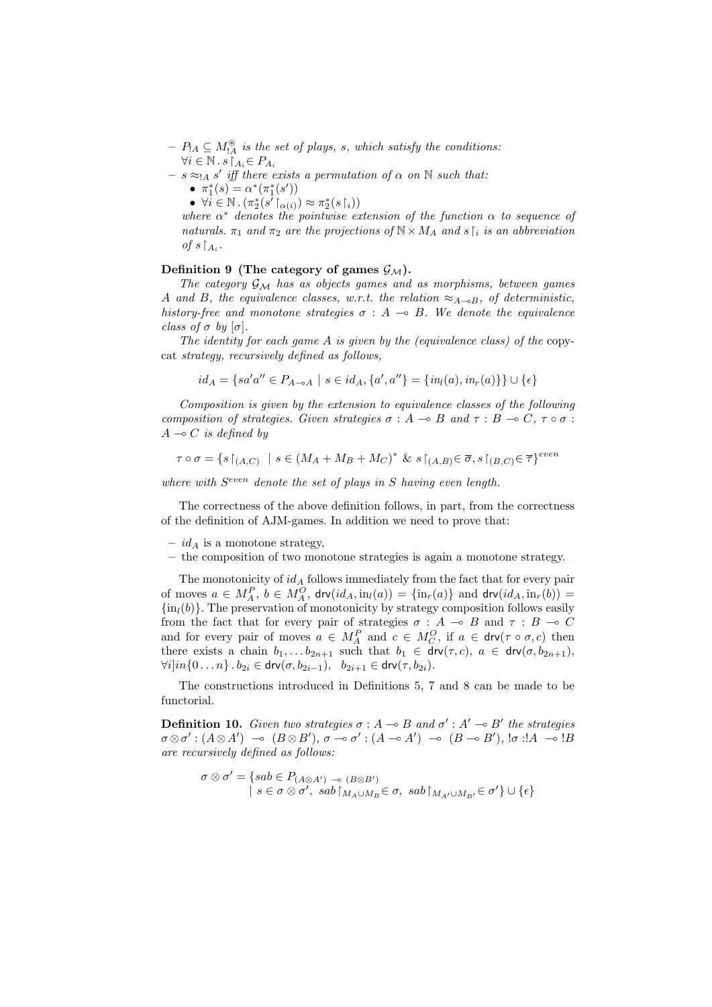$- P_{A} \subseteq M^{\circledast}_{A}$  is the set of plays, s, which satisfy the conditions:  $\forall i \in \mathbb{N} \cdot s \mathord{\upharpoonright}_{A_i} \in P_{A_i}$ 

 $- s \approx_{A} s'$  iff there exists a permutation of  $\alpha$  on  $\mathbb N$  such that:

•  $\pi_1^*(s) = \alpha^*(\pi_1^*(s'))$ 

•  $\forall i \in \mathbb{N} \cdot (\pi_2^*(s' \restriction_{\alpha(i)}) \approx \pi_2^*(s \restriction_i))$ 

where  $\alpha^*$  denotes the pointwise extension of the function  $\alpha$  to sequence of naturals.  $\pi_1$  and  $\pi_2$  are the projections of  $\mathbb{N} \times M_A$  and  $s \upharpoonright i$  is an abbreviation of  $s\upharpoonright_{A_i}$ .

### Definition 9 (The category of games  $\mathcal{G}_{\mathcal{M}}$ ).

The category  $\mathcal{G}_M$  has as objects games and as morphisms, between games A and B, the equivalence classes, w.r.t. the relation  $\approx_{A\rightarrow B}$ , of deterministic, history-free and monotone strategies  $\sigma : A \multimap B$ . We denote the equivalence class of  $\sigma$  by  $[\sigma]$ .

The identity for each game A is given by the (equivalence class) of the copycat strategy, recursively defined as follows,

$$
id_A = \{sa'a'' \in P_{A \to A} \mid s \in id_A, \{a',a''\} = \{in(a), in_r(a)\}\} \cup \{\epsilon\}
$$

Composition is given by the extension to equivalence classes of the following composition of strategies. Given strategies  $\sigma : A \to B$  and  $\tau : B \to C$ ,  $\tau \circ \sigma :$  $A \rightarrow C$  is defined by

$$
\tau \circ \sigma = \{ s \upharpoonright_{(A,C)} \ \mid s \in (M_A + M_B + M_C)^* \ \& \ s \upharpoonright_{(A,B)} \in \overline{\sigma}, s \upharpoonright_{(B,C)} \in \overline{\tau} \}^{even}
$$

where with  $S^{even}$  denote the set of plays in  $S$  having even length.

The correctness of the above definition follows, in part, from the correctness of the definition of AJM-games. In addition we need to prove that:

- $id_A$  is a monotone strategy,
- the composition of two monotone strategies is again a monotone strategy.

The monotonicity of  $id_A$  follows immediately from the fact that for every pair of moves  $a \in M_A^P$ ,  $b \in M_A^Q$ ,  $\text{div}(id_A, \text{in}_l(a)) = {\text{in}_r(a)}$  and  $\text{div}(id_A, \text{in}_r(b)) =$  ${\{in_l(b)\}}$ . The preservation of monotonicity by strategy composition follows easily from the fact that for every pair of strategies  $\sigma : A \multimap B$  and  $\tau : B \multimap C$ and for every pair of moves  $a \in M_A^P$  and  $c \in M_C^Q$ , if  $a \in \text{div}(\tau \circ \sigma, c)$  then there exists a chain  $b_1, \ldots b_{2n+1}$  such that  $b_1 \in \text{div}(\tau, c)$ ,  $a \in \text{div}(\sigma, b_{2n+1})$ ,  $\forall i | in \{0 \dots n\}$ .  $b_{2i} \in \text{div}(\sigma, b_{2i-1}), \ \ b_{2i+1} \in \text{div}(\tau, b_{2i}).$ 

The constructions introduced in Definitions 5, 7 and 8 can be made to be functorial.

**Definition 10.** Given two strategies  $\sigma : A \to B$  and  $\sigma' : A' \to B'$  the strategies  $\sigma \otimes \sigma' : (A \otimes A') \multimap (B \otimes B'), \sigma \multimap \sigma' : (A \multimap A') \multimap (B \multimap B'), \vdots \sigma : A \multimap B$ are recursively defined as follows:

$$
\sigma \otimes \sigma' = \{ sab \in P_{(A \otimes A')} \rightarrow (B \otimes B')
$$
  

$$
| s \in \sigma \otimes \sigma', \ sab \upharpoonright_{M_A \cup M_B} \in \sigma, \ sab \upharpoonright_{M_{A'} \cup M_{B'}} \in \sigma' \} \cup \{\epsilon\}
$$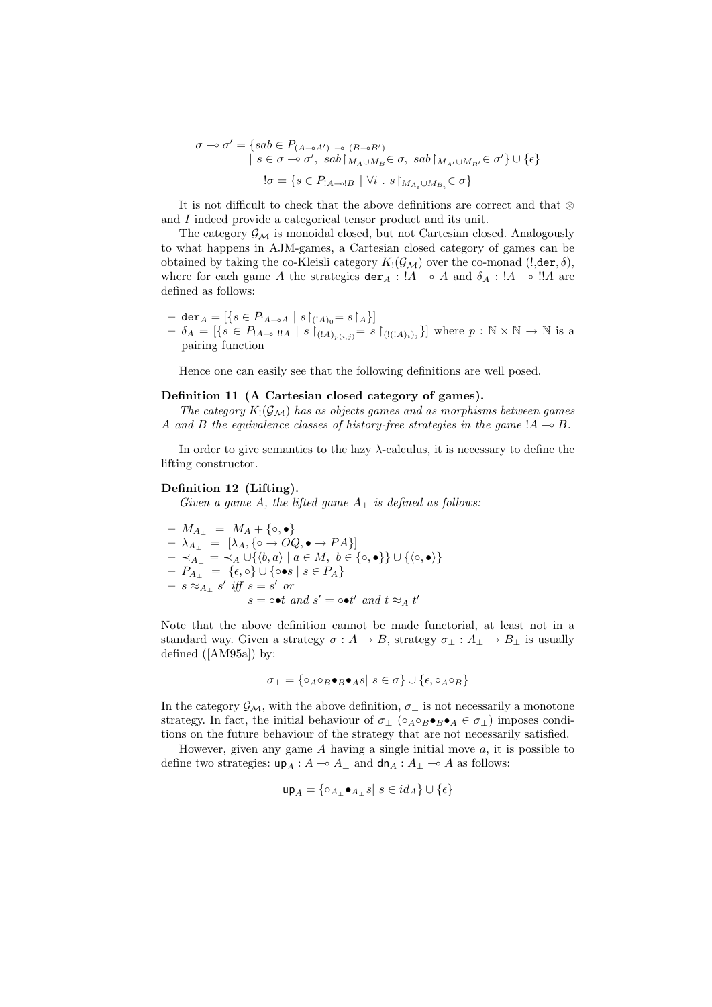$$
\begin{aligned} \sigma \multimap \sigma' &= \big\{sab \in P_{(A \multimap A')} \multimap (B \multimap B')\\ &\mid s \in \sigma \multimap \sigma', \; sab \!\upharpoonright_{M_A \cup M_B} \in \sigma, \; sab \!\upharpoonright_{M_{A'} \cup M_{B'}} \in \sigma' \big\} \cup \big\{ \epsilon \big\} \\ &\mid \sigma = \big\{ s \in P_{!A \multimap !B} \; \big| \; \forall i \; . \; s \!\upharpoonright_{M_{A_i} \cup M_{B_i}} \in \sigma \big\} \end{aligned}
$$

It is not difficult to check that the above definitions are correct and that ⊗ and I indeed provide a categorical tensor product and its unit.

The category  $\mathcal{G}_{\mathcal{M}}$  is monoidal closed, but not Cartesian closed. Analogously to what happens in AJM-games, a Cartesian closed category of games can be obtained by taking the co-Kleisli category  $K_1(\mathcal{G}_\mathcal{M})$  over the co-monad (!,der,  $\delta$ ), where for each game A the strategies  $\text{der}_A : A \to A$  and  $\delta_A : A \to \text{!!}A$  are defined as follows:

- $-$  der  $A = [\{s \in P_{A \to A} \mid s \upharpoonright_{(\{A\})0} = s \upharpoonright A\}]$
- $-\delta_A = \left[\left\{s \in P_{A\to B} \middle| A \mid s \right\}_{(A)p(i,j)} = s \left[_{(B(A)_i)_j}\right]\right]$  where  $p : \mathbb{N} \times \mathbb{N} \to \mathbb{N}$  is a pairing function

Hence one can easily see that the following definitions are well posed.

#### Definition 11 (A Cartesian closed category of games).

The category  $K_!(\mathcal{G}_\mathcal{M})$  has as objects games and as morphisms between games A and B the equivalence classes of history-free strategies in the game  $A \rightarrow B$ .

In order to give semantics to the lazy  $\lambda$ -calculus, it is necessary to define the lifting constructor.

#### Definition 12 (Lifting).

Given a game A, the lifted game  $A_{\perp}$  is defined as follows:

$$
- M_{A_{\perp}} = M_A + \{o, \bullet\}
$$
  
\n
$$
- \lambda_{A_{\perp}} = [\lambda_A, \{o \to OQ, \bullet \to PA\}]
$$
  
\n
$$
- \prec_{A_{\perp}} = \prec_A \cup \{\langle b, a \rangle \mid a \in M, b \in \{o, \bullet\}\} \cup \{\langle o, \bullet \rangle\}
$$
  
\n
$$
- P_{A_{\perp}} = \{\epsilon, o\} \cup \{\circ \bullet s \mid s \in P_A\}
$$
  
\n
$$
- s \approx_{A_{\perp}} s' \text{ iff } s = s' \text{ or }
$$
  
\n
$$
s = \circ \bullet t \text{ and } s' = \circ \bullet t' \text{ and } t \approx_A t'
$$

Note that the above definition cannot be made functorial, at least not in a standard way. Given a strategy  $\sigma : A \to B$ , strategy  $\sigma_{\perp} : A_{\perp} \to B_{\perp}$  is usually defined ([AM95a]) by:

$$
\sigma_{\perp} = \{ \circ_A \circ_B \bullet_B \bullet_A s | \ s \in \sigma \} \cup \{ \epsilon, \circ_A \circ_B \}
$$

In the category  $\mathcal{G}_\mathcal{M}$ , with the above definition,  $\sigma_\perp$  is not necessarily a monotone strategy. In fact, the initial behaviour of  $\sigma_{\perp}$  ( $\circ_{A} \circ_{B} \bullet_{B} \bullet_{A} \in \sigma_{\perp}$ ) imposes conditions on the future behaviour of the strategy that are not necessarily satisfied.

However, given any game  $A$  having a single initial move  $a$ , it is possible to define two strategies:  $\mathsf{up}_A : A \multimap A_\perp$  and  $\mathsf{dn}_A : A_\perp \multimap A$  as follows:

$$
\mathsf{up}_A = \{ \circ_{A_\perp} \bullet_{A_\perp} s | \ s \in id_A \} \cup \{ \epsilon \}
$$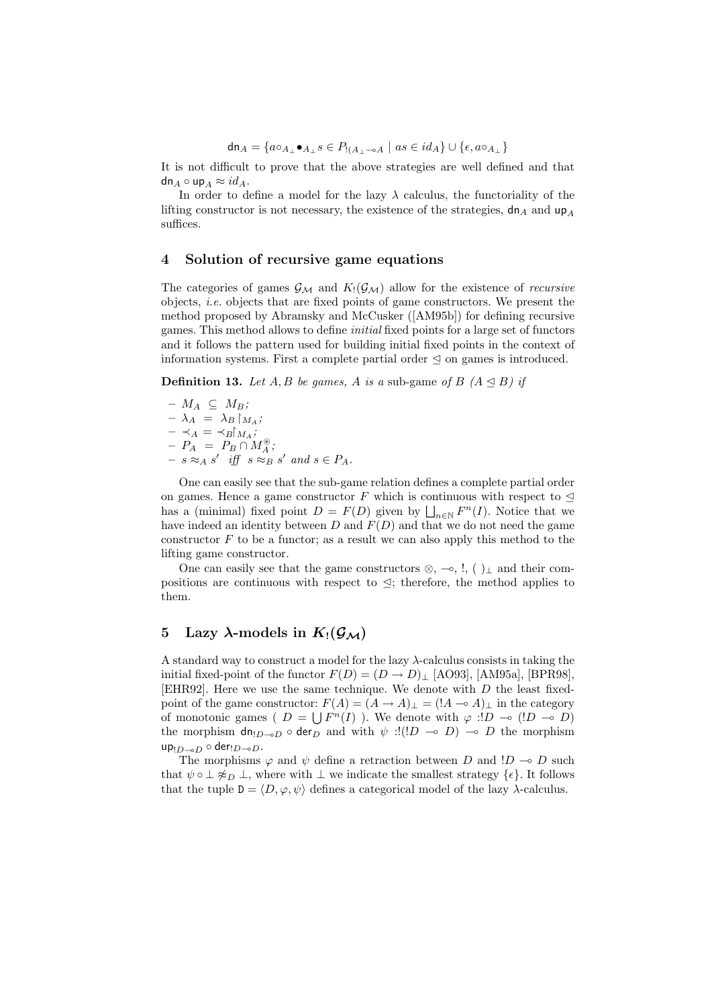$dn_A = {a \circ_{A_\perp} \bullet_{A_\perp} s \in P_{\vert (A_\perp \multimap A)} \mid as \in id_A} \cup { \epsilon, a \circ_{A_\perp} }$ 

It is not difficult to prove that the above strategies are well defined and that  $dn_A \circ up_A \approx id_A$ .

In order to define a model for the lazy  $\lambda$  calculus, the functoriality of the lifting constructor is not necessary, the existence of the strategies,  $dn_A$  and  $up_A$ suffices.

### 4 Solution of recursive game equations

The categories of games  $\mathcal{G}_M$  and  $K_1(\mathcal{G}_M)$  allow for the existence of *recursive* objects, i.e. objects that are fixed points of game constructors. We present the method proposed by Abramsky and McCusker ([AM95b]) for defining recursive games. This method allows to define initial fixed points for a large set of functors and it follows the pattern used for building initial fixed points in the context of information systems. First a complete partial order  $\leq$  on games is introduced.

**Definition 13.** Let A, B be games, A is a sub-game of B  $(A \triangleleft B)$  if

 $- M_A \subseteq M_B;$  $- \lambda_A = \lambda_B \upharpoonright_{M_A}$ ;  $- \prec_A = \prec_B \mid_{M_A}$ ;  $- P_A = P_B \cap M_A^{\circledast}$ ;  $- s \approx_A s'$  iff  $s \approx_B s'$  and  $s \in P_A$ .

One can easily see that the sub-game relation defines a complete partial order on games. Hence a game constructor F which is continuous with respect to  $\triangleleft$ has a (minimal) fixed point  $D = F(D)$  given by  $\bigsqcup_{n \in \mathbb{N}} F^n(I)$ . Notice that we have indeed an identity between  $D$  and  $F(D)$  and that we do not need the game constructor  $F$  to be a functor; as a result we can also apply this method to the lifting game constructor.

One can easily see that the game constructors  $\otimes$ ,  $\neg$ ,  $\cdot$ ,  $( )_{\perp}$  and their compositions are continuous with respect to  $\leq$ ; therefore, the method applies to them.

# 5 Lazy  $\lambda$ -models in  $K_1(\mathcal{G}_\mathcal{M})$

A standard way to construct a model for the lazy  $\lambda$ -calculus consists in taking the initial fixed-point of the functor  $F(D) = (D \rightarrow D)_{\perp}$  [AO93], [AM95a], [BPR98], [EHR92]. Here we use the same technique. We denote with  $D$  the least fixedpoint of the game constructor:  $F(A) = (A \rightarrow A)_{\perp} = (A \rightarrow A)_{\perp}$  in the category of monotonic games ( $D = \bigcup F^n(I)$ ). We denote with  $\varphi : D \to (D \to D)$ the morphism  $dn_{1D\rightarrow D} \circ der_D$  and with  $\psi$  :!( $[D \multimap D] \multimap D$  the morphism  $up_{!D\rightarrow D}\circ der_{!D\rightarrow D}.$ 

The morphisms  $\varphi$  and  $\psi$  define a retraction between D and  $!D \to D$  such that  $\psi \circ \bot \not\approx_D \bot$ , where with  $\bot$  we indicate the smallest strategy  $\{\epsilon\}$ . It follows that the tuple  $D = \langle D, \varphi, \psi \rangle$  defines a categorical model of the lazy  $\lambda$ -calculus.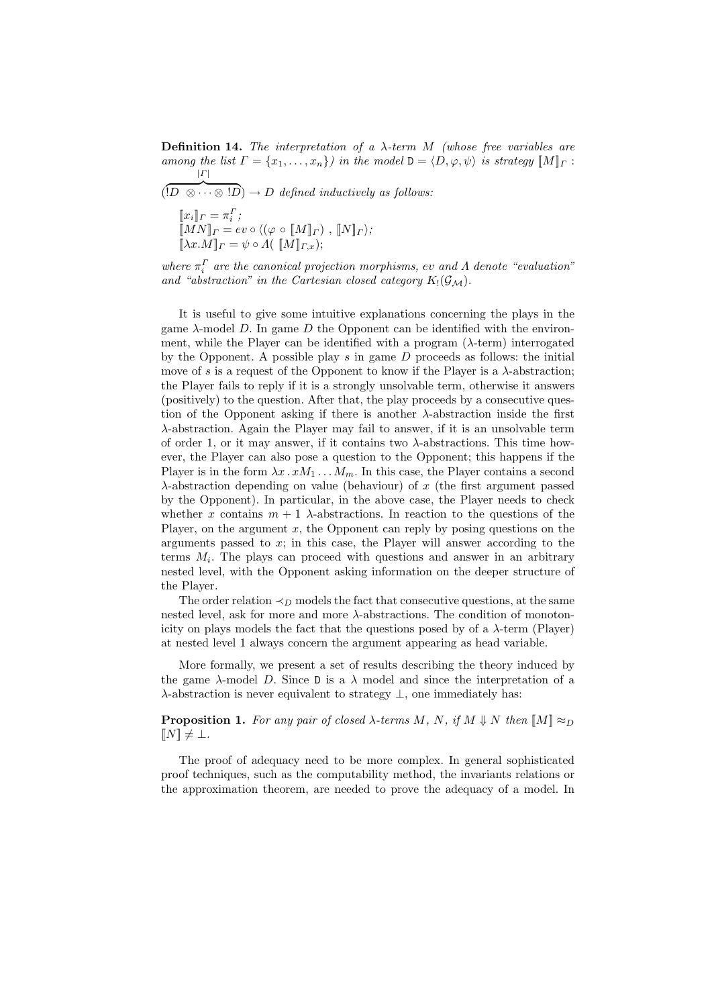**Definition 14.** The interpretation of a  $\lambda$ -term M (whose free variables are among the list  $\Gamma = \{x_1, \ldots, x_n\}$  in the model  $D = \langle D, \varphi, \psi \rangle$  is strategy  $[M]_\Gamma$ :  $|\Gamma|$ 

$$
(\overbrace{[D \otimes \cdots \otimes !D]}^{(D \otimes \cdots \otimes !D)} \rightarrow D \text{ defined inductively as follows:}
$$

$$
\begin{aligned} [\![x_i]\!]_r &= \pi_i^r; \\ [\![M N]\!]_r &= \text{ev} \circ \langle (\varphi \circ [\![M]\!]_r) \text{ , } [\![N]\!]_r \rangle; \\ [\![\lambda x. M]\!]_r &= \psi \circ \Lambda([\![M]\!]_{r,x}); \end{aligned}
$$

where  $\pi_i^{\Gamma}$  are the canonical projection morphisms, ev and  $\Lambda$  denote "evaluation" and "abstraction" in the Cartesian closed category  $K_1(\mathcal{G}_M)$ .

It is useful to give some intuitive explanations concerning the plays in the game  $\lambda$ -model D. In game D the Opponent can be identified with the environment, while the Player can be identified with a program  $(\lambda$ -term) interrogated by the Opponent. A possible play  $s$  in game  $D$  proceeds as follows: the initial move of s is a request of the Opponent to know if the Player is a  $\lambda$ -abstraction; the Player fails to reply if it is a strongly unsolvable term, otherwise it answers (positively) to the question. After that, the play proceeds by a consecutive question of the Opponent asking if there is another  $\lambda$ -abstraction inside the first λ-abstraction. Again the Player may fail to answer, if it is an unsolvable term of order 1, or it may answer, if it contains two  $\lambda$ -abstractions. This time however, the Player can also pose a question to the Opponent; this happens if the Player is in the form  $\lambda x \cdot xM_1 \dots M_m$ . In this case, the Player contains a second  $\lambda$ -abstraction depending on value (behaviour) of x (the first argument passed by the Opponent). In particular, in the above case, the Player needs to check whether x contains  $m + 1$   $\lambda$ -abstractions. In reaction to the questions of the Player, on the argument  $x$ , the Opponent can reply by posing questions on the arguments passed to  $x$ ; in this case, the Player will answer according to the terms  $M_i$ . The plays can proceed with questions and answer in an arbitrary nested level, with the Opponent asking information on the deeper structure of the Player.

The order relation  $\prec_D$  models the fact that consecutive questions, at the same nested level, ask for more and more  $\lambda$ -abstractions. The condition of monotonicity on plays models the fact that the questions posed by of a  $\lambda$ -term (Player) at nested level 1 always concern the argument appearing as head variable.

More formally, we present a set of results describing the theory induced by the game  $\lambda$ -model D. Since D is a  $\lambda$  model and since the interpretation of a  $\lambda$ -abstraction is never equivalent to strategy  $\bot$ , one immediately has:

**Proposition 1.** For any pair of closed  $\lambda$ -terms M, N, if M  $\Downarrow$  N then  $\llbracket M \rrbracket \approx_D$  $\llbracket N \rrbracket \neq \perp$ .

The proof of adequacy need to be more complex. In general sophisticated proof techniques, such as the computability method, the invariants relations or the approximation theorem, are needed to prove the adequacy of a model. In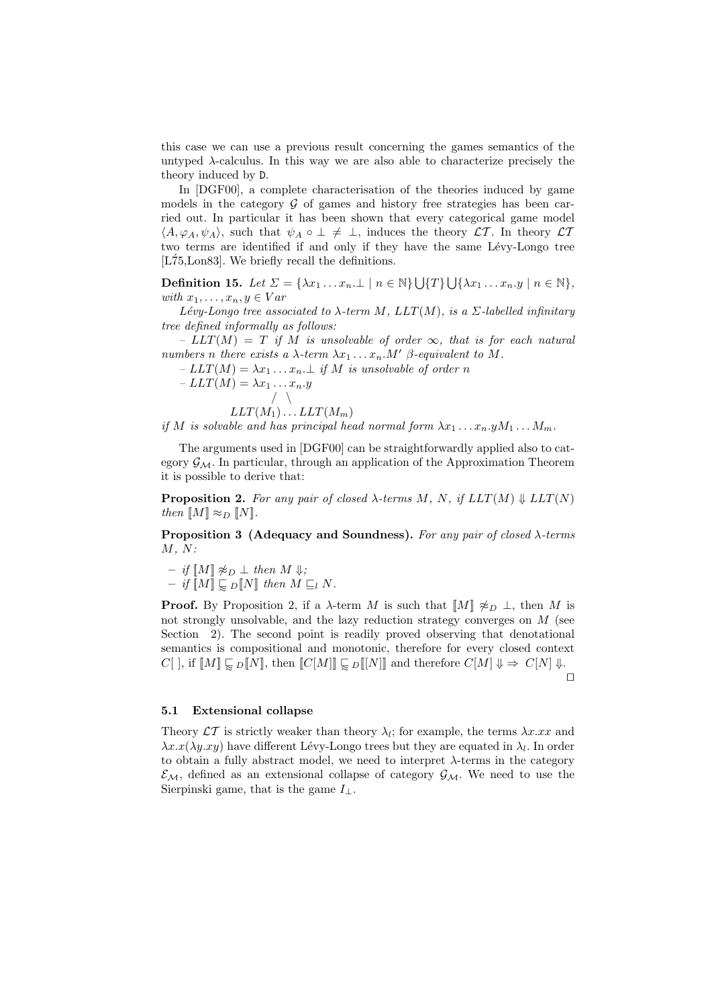this case we can use a previous result concerning the games semantics of the untyped  $\lambda$ -calculus. In this way we are also able to characterize precisely the theory induced by D.

In [DGF00], a complete characterisation of the theories induced by game models in the category  $\mathcal G$  of games and history free strategies has been carried out. In particular it has been shown that every categorical game model  $\langle A, \varphi_A, \psi_A \rangle$ , such that  $\psi_A \circ \bot \neq \bot$ , induces the theory  $\mathcal{LT}$ . In theory  $\mathcal{LT}$ two terms are identified if and only if they have the same Lévy-Longo tree [L75,Lon83]. We briefly recall the definitions.

Definition 15. Let  $\Sigma = {\lambda x_1 ... x_n \perp | n \in \mathbb{N}} \bigcup \{T\} \bigcup {\lambda x_1 ... x_n y | n \in \mathbb{N}}$ , with  $x_1, \ldots, x_n, y \in Var$ 

Lévy-Longo tree associated to  $\lambda$ -term M, LLT(M), is a  $\Sigma$ -labelled infinitary tree defined informally as follows:

 $- LLT(M) = T$  if M is unsolvable of order  $\infty$ , that is for each natural numbers n there exists a  $\lambda$ -term  $\lambda x_1 \ldots x_n$ . M'  $\beta$ -equivalent to M.

 $- LLT(M) = \lambda x_1 \ldots x_n \perp$  if M is unsolvable of order n

 $-LLT(M) = \lambda x_1 \dots x_n y$  $/ \ \backslash$  $LLT(M_1)...LLT(M_m)$ 

if M is solvable and has principal head normal form  $\lambda x_1 \ldots x_n y M_1 \ldots M_m$ .

The arguments used in [DGF00] can be straightforwardly applied also to category  $\mathcal{G}_M$ . In particular, through an application of the Approximation Theorem it is possible to derive that:

**Proposition 2.** For any pair of closed  $\lambda$ -terms M, N, if  $LLT(M) \Downarrow LLT(N)$ then  $[M] \approx_D [N]$ .

Proposition 3 (Adequacy and Soundness). For any pair of closed  $\lambda$ -terms  $M, N:$ 

- $-$  if  $\llbracket M \rrbracket \not\approx_D \perp$  then  $M \Downarrow$ ;
- $-$  if  $\llbracket M \rrbracket \subseteq D \llbracket N \rrbracket$  then  $M \sqsubseteq_l N$ .

**Proof.** By Proposition 2, if a  $\lambda$ -term M is such that  $\llbracket M \rrbracket \not\approx_D \bot$ , then M is not strongly unsolvable, and the lazy reduction strategy converges on  $M$  (see Section 2). The second point is readily proved observing that denotational semantics is compositional and monotonic, therefore for every closed context  $C[ , \, \text{if } \llbracket M \rrbracket \subsetneq D[\hspace{-0.04cm}[ \bar{N} ]], \, \text{then } \llbracket C[M] \rrbracket \subsetneq D[\llbracket N \rrbracket] \text{ and therefore } C[M] \Downarrow \Rightarrow C[N] \Downarrow.$ 

 $\Box$ 

### 5.1 Extensional collapse

Theory  $\mathcal{LT}$  is strictly weaker than theory  $\lambda_l$ ; for example, the terms  $\lambda x.xx$  and  $\lambda x.x(\lambda y.xy)$  have different Lévy-Longo trees but they are equated in  $\lambda_l$ . In order to obtain a fully abstract model, we need to interpret λ-terms in the category  $\mathcal{E}_{M}$ , defined as an extensional collapse of category  $\mathcal{G}_{M}$ . We need to use the Sierpinski game, that is the game  $I_{\perp}$ .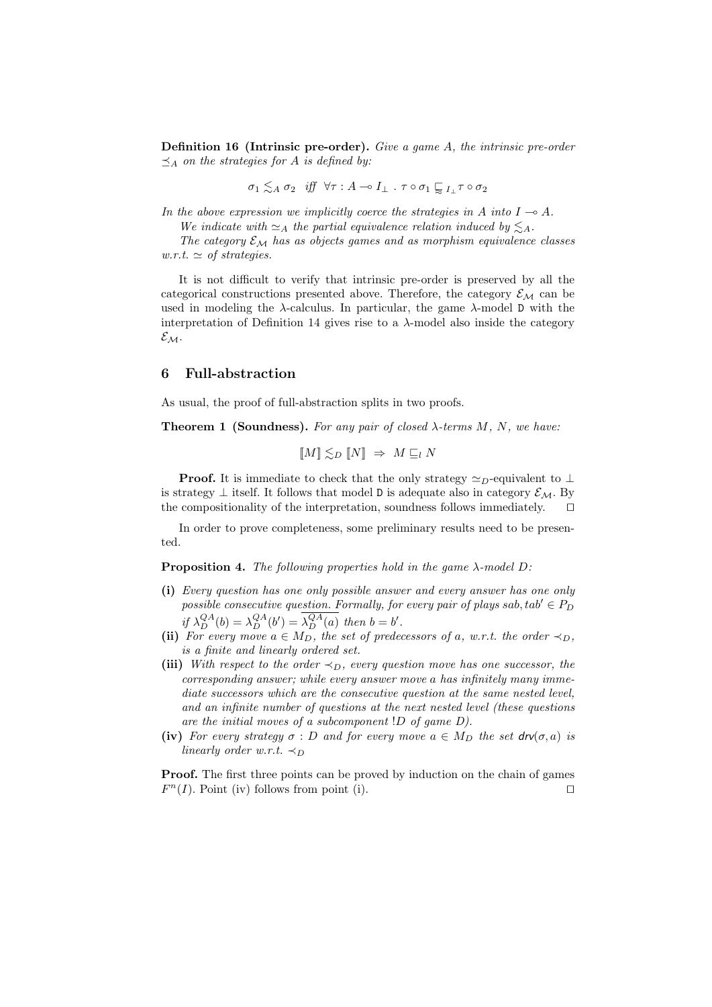Definition 16 (Intrinsic pre-order). Give a game A, the intrinsic pre-order  $\preceq_A$  on the strategies for A is defined by:

$$
\sigma_1 \lesssim_A \sigma_2 \quad \text{iff} \quad \forall \tau : A \multimap I_{\perp} \quad \tau \circ \sigma_1 \underset{\approx}{\sqsubset} I_{\perp} \tau \circ \sigma_2
$$

In the above expression we implicitly coerce the strategies in A into  $I \rightarrow A$ .

We indicate with  $\simeq_A$  the partial equivalence relation induced by  $\lesssim_A$ .

The category  $\mathcal{E}_{\mathcal{M}}$  has as objects games and as morphism equivalence classes  $w.r.t. \simeq$  of strategies.

It is not difficult to verify that intrinsic pre-order is preserved by all the categorical constructions presented above. Therefore, the category  $\mathcal{E}_{M}$  can be used in modeling the  $\lambda$ -calculus. In particular, the game  $\lambda$ -model D with the interpretation of Definition 14 gives rise to a  $\lambda$ -model also inside the category  $\mathcal{E}_{\mathcal{M}}$ .

# 6 Full-abstraction

As usual, the proof of full-abstraction splits in two proofs.

**Theorem 1 (Soundness).** For any pair of closed  $\lambda$ -terms  $M$ ,  $N$ , we have:

$$
[\![M]\!] \lesssim_D [\![N]\!] \ \Rightarrow \ M \sqsubseteq_l N
$$

**Proof.** It is immediate to check that the only strategy  $\simeq_D$ -equivalent to ⊥ is strategy  $\perp$  itself. It follows that model D is adequate also in category  $\mathcal{E}_M$ . By the compositionality of the interpretation, soundness follows immediately.  $\square$ 

In order to prove completeness, some preliminary results need to be presented.

**Proposition 4.** The following properties hold in the game  $\lambda$ -model D:

- (i) Every question has one only possible answer and every answer has one only possible consecutive question. Formally, for every pair of plays sab, tab'  $\in P_D$ if  $\lambda_D^{QA}(b) = \lambda_D^{QA}(b') = \lambda_D^{QA}(a)$  then  $b = b'$ .
- (ii) For every move  $a \in M_D$ , the set of predecessors of a, w.r.t. the order  $\prec_D$ , is a finite and linearly ordered set.
- (iii) With respect to the order  $\prec_D$ , every question move has one successor, the corresponding answer; while every answer move a has infinitely many immediate successors which are the consecutive question at the same nested level, and an infinite number of questions at the next nested level (these questions are the initial moves of a subcomponent !D of game D).
- (iv) For every strategy  $\sigma : D$  and for every move  $a \in M_D$  the set  $d\mathbf{r}(\sigma, a)$  is linearly order w.r.t.  $\prec_D$

**Proof.** The first three points can be proved by induction on the chain of games  $F^{n}(I)$ . Point (iv) follows from point (i).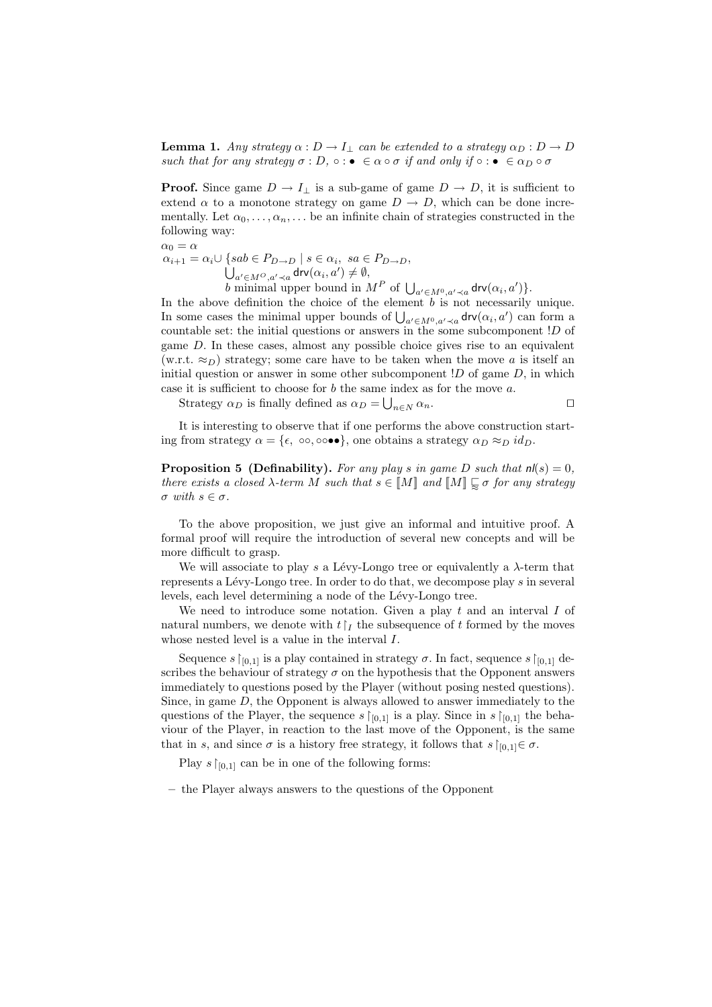**Lemma 1.** Any strategy  $\alpha : D \to I_{\perp}$  can be extended to a strategy  $\alpha_D : D \to D$ such that for any strategy  $\sigma : D$ ,  $\circ : \bullet \in \alpha \circ \sigma$  if and only if  $\circ : \bullet \in \alpha_D \circ \sigma$ 

**Proof.** Since game  $D \to I_{\perp}$  is a sub-game of game  $D \to D$ , it is sufficient to extend  $\alpha$  to a monotone strategy on game  $D \to D$ , which can be done incrementally. Let  $\alpha_0, \ldots, \alpha_n, \ldots$  be an infinite chain of strategies constructed in the following way:

 $\alpha_0 = \alpha$  $\alpha_{i+1} = \alpha_i \cup \{ sab \in P_{D \to D} \mid s \in \alpha_i, \ s a \in P_{D \to D},\}$  $\bigcup_{a' \in M^O, a' \prec a}$  drv $(\alpha_i, a') \neq \emptyset$ , b minimal upper bound in  $M^P$  of  $\bigcup_{a' \in M^0, a' \prec a} \textsf{div}(\alpha_i, a')\}.$ 

In the above definition the choice of the element  $b$  is not necessarily unique. In some cases the minimal upper bounds of  $\bigcup_{a' \in M^0, a' \prec a}$  drv $(\alpha_i, a')$  can form a countable set: the initial questions or answers in the some subcomponent !D of game D. In these cases, almost any possible choice gives rise to an equivalent  $(w.r.t. \approx_D)$  strategy; some care have to be taken when the move a is itself an initial question or answer in some other subcomponent  $D$  of game  $D$ , in which case it is sufficient to choose for b the same index as for the move a.

Strategy  $\alpha_D$  is finally defined as  $\alpha_D = \bigcup_{n \in N} \alpha_n$ .

It is interesting to observe that if one performs the above construction starting from strategy  $\alpha = {\epsilon, \infty, \infty \bullet \bullet}$ , one obtains a strategy  $\alpha_D \approx_D id_D$ .

**Proposition 5 (Definability).** For any play s in game D such that  $n(s) = 0$ , there exists a closed  $\lambda$ -term  $\tilde{M}$  such that  $s \in \llbracket M \rrbracket$  and  $\llbracket M \rrbracket \subseteq \sigma$  for any strategy σ with s ∈ σ.

To the above proposition, we just give an informal and intuitive proof. A formal proof will require the introduction of several new concepts and will be more difficult to grasp.

We will associate to play s a Lévy-Longo tree or equivalently a  $\lambda$ -term that represents a Lévy-Longo tree. In order to do that, we decompose play  $s$  in several levels, each level determining a node of the Lévy-Longo tree.

We need to introduce some notation. Given a play t and an interval  $I$  of natural numbers, we denote with  $t \upharpoonright t$  the subsequence of t formed by the moves whose nested level is a value in the interval I.

Sequence  $s|_{[0,1]}$  is a play contained in strategy  $\sigma$ . In fact, sequence  $s|_{[0,1]}$  describes the behaviour of strategy  $\sigma$  on the hypothesis that the Opponent answers immediately to questions posed by the Player (without posing nested questions). Since, in game D, the Opponent is always allowed to answer immediately to the questions of the Player, the sequence  $s \upharpoonright_{[0,1]}$  is a play. Since in  $s \upharpoonright_{[0,1]}$  the behaviour of the Player, in reaction to the last move of the Opponent, is the same that in s, and since  $\sigma$  is a history free strategy, it follows that  $s\upharpoonright_{[0,1]} \in \sigma$ .

Play  $s|_{[0,1]}$  can be in one of the following forms:

– the Player always answers to the questions of the Opponent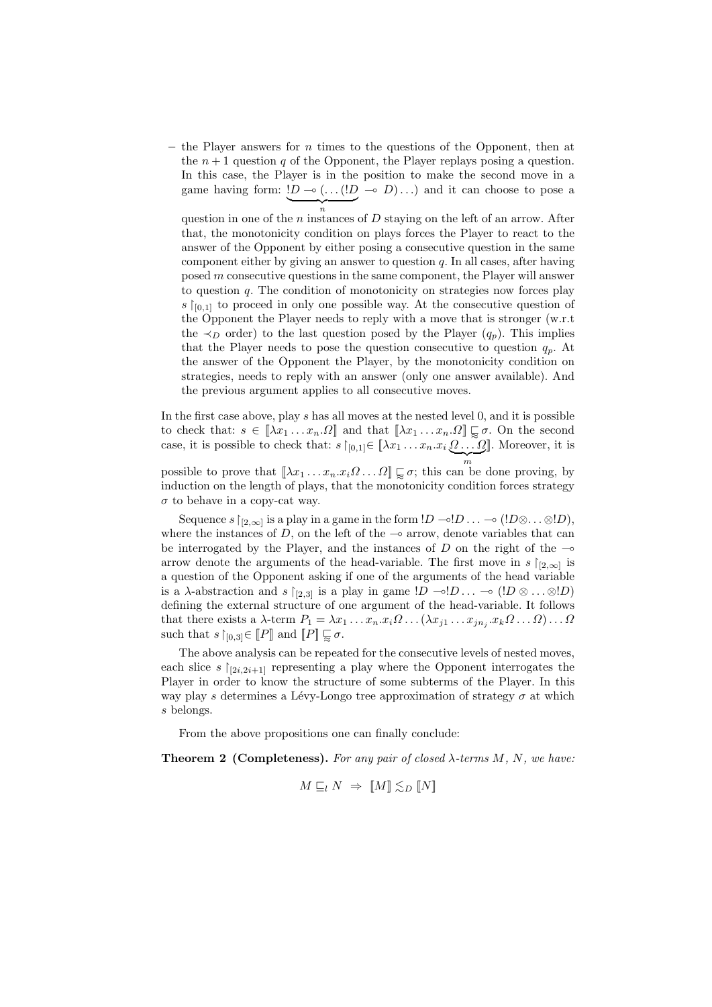the Player answers for  $n$  times to the questions of the Opponent, then at the  $n+1$  question q of the Opponent, the Player replays posing a question. In this case, the Player is in the position to make the second move in a game having form:  $|D \to ( \dots (|D \to D) \dots )$  and it can choose to pose a

question in one of the *n* instances of *D* staying on the left of an arrow. After that, the monotonicity condition on plays forces the Player to react to the answer of the Opponent by either posing a consecutive question in the same component either by giving an answer to question  $q$ . In all cases, after having posed m consecutive questions in the same component, the Player will answer to question  $q$ . The condition of monotonicity on strategies now forces play s  $\lceil 0,1 \rceil$  to proceed in only one possible way. At the consecutive question of the Opponent the Player needs to reply with a move that is stronger (w.r.t the  $\prec_D$  order) to the last question posed by the Player  $(q_p)$ . This implies that the Player needs to pose the question consecutive to question  $q_p$ . At the answer of the Opponent the Player, by the monotonicity condition on strategies, needs to reply with an answer (only one answer available). And the previous argument applies to all consecutive moves.

In the first case above, play s has all moves at the nested level  $0$ , and it is possible to check that:  $s \in [\![\lambda x_1 \ldots x_n] \cdot \Omega]\!]$  and that  $[\![\lambda x_1 \ldots x_n] \cdot \Omega]\!] \subset \sigma$ . On the second case, it is possible to check that:  $s \upharpoonright_{[0,1]} \in [\![\lambda x_1 \ldots x_n.x_i \,\Omega \ldots \Omega ]\!]$  $\overline{m}$ possible to prove that  $[\![\lambda x_1 \ldots x_n.x_i \Omega \ldots \Omega ]\!] \subsetneq \sigma$ ; this can be done proving, by ]]. Moreover, it is

induction on the length of plays, that the monotonicity condition forces strategy  $\sigma$  to behave in a copy-cat way.

Sequence  $s\upharpoonright_{[2,\infty]}$  is a play in a game in the form  $!D\multimap !D\ldots \multimap (!D\otimes \ldots \otimes !D)$ , where the instances of  $D$ , on the left of the  $\sim$  arrow, denote variables that can be interrogated by the Player, and the instances of  $D$  on the right of the  $\sim$ arrow denote the arguments of the head-variable. The first move in  $s \nvert_{[2,\infty]}$  is a question of the Opponent asking if one of the arguments of the head variable is a  $\lambda$ -abstraction and s  $\lceil_{[2,3]}$  is a play in game  $!D \multimap !D \dots \multimap (!D \otimes \dots \otimes !D)$ defining the external structure of one argument of the head-variable. It follows that there exists a  $\lambda$ -term  $P_1 = \lambda x_1 \dots x_n . x_i \Omega \dots (\lambda x_{j1} \dots x_{jn_j} . x_k \Omega \dots \Omega) \dots \Omega$ such that  $s\upharpoonright_{[0,3]}\in\llbracket P\rrbracket$  and  $\llbracket P\rrbracket\subsetneq\sigma$ .

The above analysis can be repeated for the consecutive levels of nested moves, each slice s  $\lceil 2i,2i+1 \rceil$  representing a play where the Opponent interrogates the Player in order to know the structure of some subterms of the Player. In this way play s determines a Lévy-Longo tree approximation of strategy  $\sigma$  at which s belongs.

From the above propositions one can finally conclude:

**Theorem 2 (Completeness).** For any pair of closed  $\lambda$ -terms M, N, we have:

$$
M \sqsubseteq_l N \ \Rightarrow \ \llbracket M \rrbracket \lesssim_D \llbracket N \rrbracket
$$